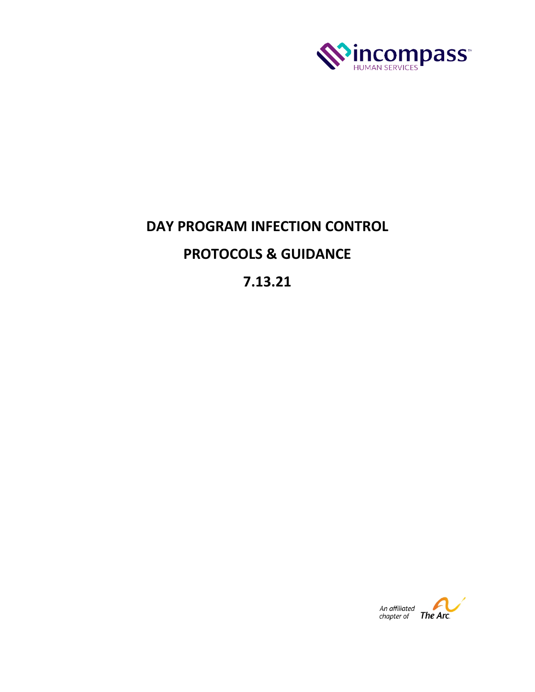

# **DAY PROGRAM INFECTION CONTROL PROTOCOLS & GUIDANCE**

**7.13.21**

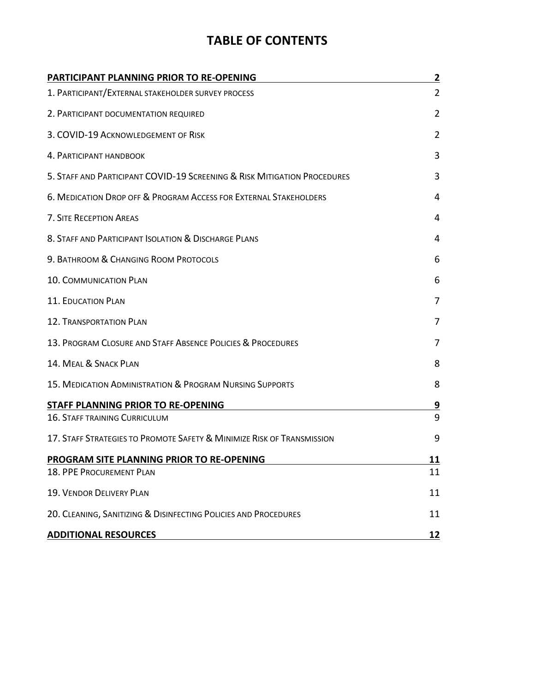# **TABLE OF CONTENTS**

| <b>PARTICIPANT PLANNING PRIOR TO RE-OPENING</b>                          | 2              |
|--------------------------------------------------------------------------|----------------|
| 1. PARTICIPANT/EXTERNAL STAKEHOLDER SURVEY PROCESS                       | $\overline{2}$ |
| 2. PARTICIPANT DOCUMENTATION REQUIRED                                    | $\overline{2}$ |
| 3. COVID-19 ACKNOWLEDGEMENT OF RISK                                      | $\overline{2}$ |
| 4. PARTICIPANT HANDBOOK                                                  | 3              |
| 5. STAFF AND PARTICIPANT COVID-19 SCREENING & RISK MITIGATION PROCEDURES | 3              |
| 6. MEDICATION DROP OFF & PROGRAM ACCESS FOR EXTERNAL STAKEHOLDERS        | 4              |
| 7. SITE RECEPTION AREAS                                                  | 4              |
| 8. STAFF AND PARTICIPANT ISOLATION & DISCHARGE PLANS                     | 4              |
| 9. BATHROOM & CHANGING ROOM PROTOCOLS                                    | 6              |
| <b>10. COMMUNICATION PLAN</b>                                            | 6              |
| 11. EDUCATION PLAN                                                       | 7              |
| <b>12. TRANSPORTATION PLAN</b>                                           | 7              |
| 13. PROGRAM CLOSURE AND STAFF ABSENCE POLICIES & PROCEDURES              | 7              |
| 14. MEAL & SNACK PLAN                                                    | 8              |
| 15. MEDICATION ADMINISTRATION & PROGRAM NURSING SUPPORTS                 | 8              |
| STAFF PLANNING PRIOR TO RE-OPENING                                       | <u>و</u>       |
| 16. STAFF TRAINING CURRICULUM                                            | 9              |
| 17. STAFF STRATEGIES TO PROMOTE SAFETY & MINIMIZE RISK OF TRANSMISSION   | 9              |
| PROGRAM SITE PLANNING PRIOR TO RE-OPENING                                | 11             |
| 18. PPE PROCUREMENT PLAN                                                 | 11             |
| 19. VENDOR DELIVERY PLAN                                                 | 11             |
| 20. CLEANING, SANITIZING & DISINFECTING POLICIES AND PROCEDURES          | 11             |
| <b>ADDITIONAL RESOURCES</b>                                              | <u>12</u>      |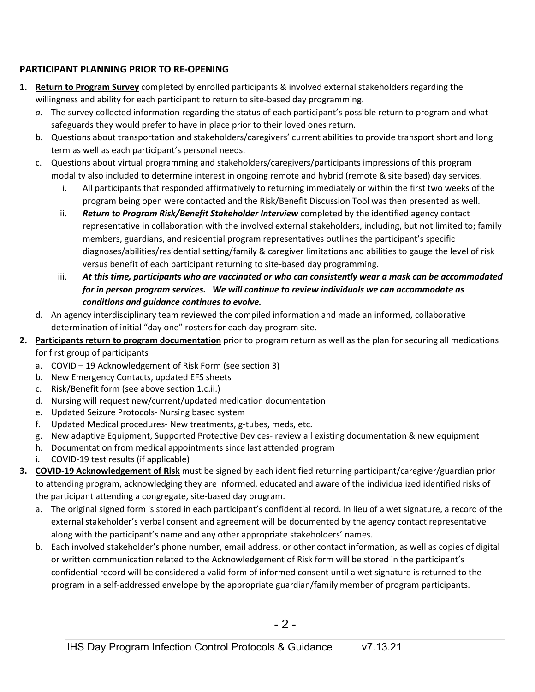## **PARTICIPANT PLANNING PRIOR TO RE-OPENING**

- **1. Return to Program Survey** completed by enrolled participants & involved external stakeholders regarding the willingness and ability for each participant to return to site-based day programming.
	- *a.* The survey collected information regarding the status of each participant's possible return to program and what safeguards they would prefer to have in place prior to their loved ones return.
	- b. Questions about transportation and stakeholders/caregivers' current abilities to provide transport short and long term as well as each participant's personal needs.
	- c. Questions about virtual programming and stakeholders/caregivers/participants impressions of this program modality also included to determine interest in ongoing remote and hybrid (remote & site based) day services.
		- i. All participants that responded affirmatively to returning immediately or within the first two weeks of the program being open were contacted and the Risk/Benefit Discussion Tool was then presented as well.
		- ii. *Return to Program Risk/Benefit Stakeholder Interview* completed by the identified agency contact representative in collaboration with the involved external stakeholders, including, but not limited to; family members, guardians, and residential program representatives outlines the participant's specific diagnoses/abilities/residential setting/family & caregiver limitations and abilities to gauge the level of risk versus benefit of each participant returning to site-based day programming.
		- iii. *At this time, participants who are vaccinated or who can consistently wear a mask can be accommodated for in person program services. We will continue to review individuals we can accommodate as conditions and guidance continues to evolve.*
	- d. An agency interdisciplinary team reviewed the compiled information and made an informed, collaborative determination of initial "day one" rosters for each day program site.
- **2. Participants return to program documentation** prior to program return as well as the plan for securing all medications for first group of participants
	- a. COVID 19 Acknowledgement of Risk Form (see section 3)
	- b. New Emergency Contacts, updated EFS sheets
	- c. Risk/Benefit form (see above section 1.c.ii.)
	- d. Nursing will request new/current/updated medication documentation
	- e. Updated Seizure Protocols- Nursing based system
	- f. Updated Medical procedures- New treatments, g-tubes, meds, etc.
	- g. New adaptive Equipment, Supported Protective Devices- review all existing documentation & new equipment
	- h. Documentation from medical appointments since last attended program
	- i. COVID-19 test results (if applicable)
- **3. COVID-19 Acknowledgement of Risk** must be signed by each identified returning participant/caregiver/guardian prior to attending program, acknowledging they are informed, educated and aware of the individualized identified risks of the participant attending a congregate, site-based day program.
	- a. The original signed form is stored in each participant's confidential record. In lieu of a wet signature, a record of the external stakeholder's verbal consent and agreement will be documented by the agency contact representative along with the participant's name and any other appropriate stakeholders' names.
	- b. Each involved stakeholder's phone number, email address, or other contact information, as well as copies of digital or written communication related to the Acknowledgement of Risk form will be stored in the participant's confidential record will be considered a valid form of informed consent until a wet signature is returned to the program in a self-addressed envelope by the appropriate guardian/family member of program participants.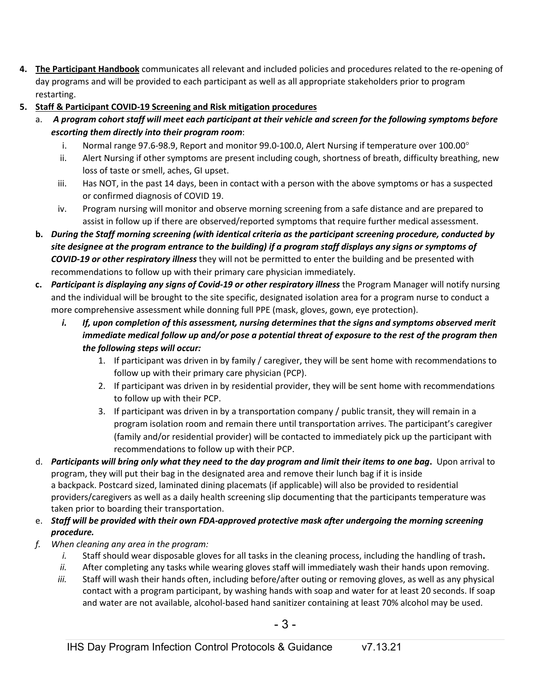- **4. The Participant Handbook** communicates all relevant and included policies and procedures related to the re-opening of day programs and will be provided to each participant as well as all appropriate stakeholders prior to program restarting.
- **5. Staff & Participant COVID-19 Screening and Risk mitigation procedures** 
	- a. *A program cohort staff will meet each participant at their vehicle and screen for the following symptoms before escorting them directly into their program room*:
		- i. Normal range 97.6-98.9, Report and monitor 99.0-100.0, Alert Nursing if temperature over 100.00°
		- ii. Alert Nursing if other symptoms are present including cough, shortness of breath, difficulty breathing, new loss of taste or smell, aches, GI upset.
		- iii. Has NOT, in the past 14 days, been in contact with a person with the above symptoms or has a suspected or confirmed diagnosis of COVID 19.
		- iv. Program nursing will monitor and observe morning screening from a safe distance and are prepared to assist in follow up if there are observed/reported symptoms that require further medical assessment.
	- **b.** *During the Staff morning screening (with identical criteria as the participant screening procedure, conducted by site designee at the program entrance to the building) if a program staff displays any signs or symptoms of COVID-19 or other respiratory illness* they will not be permitted to enter the building and be presented with recommendations to follow up with their primary care physician immediately.
	- **c.** *Participant is displaying any signs of Covid-19 or other respiratory illness* the Program Manager will notify nursing and the individual will be brought to the site specific, designated isolation area for a program nurse to conduct a more comprehensive assessment while donning full PPE (mask, gloves, gown, eye protection).
		- *i. If, upon completion of this assessment, nursing determines that the signs and symptoms observed merit immediate medical follow up and/or pose a potential threat of exposure to the rest of the program then the following steps will occur:*
			- 1. If participant was driven in by family / caregiver, they will be sent home with recommendations to follow up with their primary care physician (PCP).
			- 2. If participant was driven in by residential provider, they will be sent home with recommendations to follow up with their PCP.
			- 3. If participant was driven in by a transportation company / public transit, they will remain in a program isolation room and remain there until transportation arrives. The participant's caregiver (family and/or residential provider) will be contacted to immediately pick up the participant with recommendations to follow up with their PCP.
	- d. *Participants will bring only what they need to the day program and limit their items to one bag***.** Upon arrival to program, they will put their bag in the designated area and remove their lunch bag if it is inside a backpack. Postcard sized, laminated dining placemats (if applicable) will also be provided to residential providers/caregivers as well as a daily health screening slip documenting that the participants temperature was taken prior to boarding their transportation.
	- e. *Staff will be provided with their own FDA-approved protective mask after undergoing the morning screening procedure.*
	- *f. When cleaning any area in the program:*
		- *i.* Staff should wear disposable gloves for all tasks in the cleaning process, including the handling of trash**.**
		- *ii.* After completing any tasks while wearing gloves staff will immediately wash their hands upon removing.
		- *iii.* Staff will wash their hands often, including before/after outing or removing gloves, as well as any physical contact with a program participant, by washing hands with soap and water for at least 20 seconds. If soap and water are not available, alcohol-based hand sanitizer containing at least 70% alcohol may be used.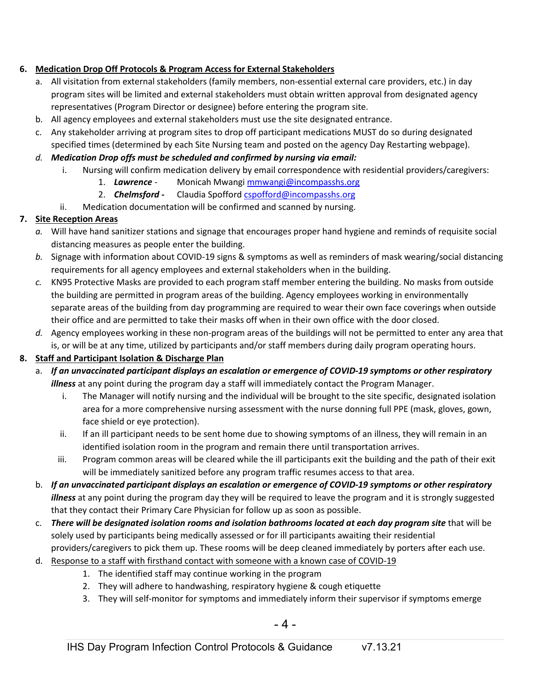### **6. Medication Drop Off Protocols & Program Access for External Stakeholders**

- a. All visitation from external stakeholders (family members, non-essential external care providers, etc.) in day program sites will be limited and external stakeholders must obtain written approval from designated agency representatives (Program Director or designee) before entering the program site.
- b. All agency employees and external stakeholders must use the site designated entrance.
- c. Any stakeholder arriving at program sites to drop off participant medications MUST do so during designated specified times (determined by each Site Nursing team and posted on the agency Day Restarting webpage).
- *d. Medication Drop offs must be scheduled and confirmed by nursing via email:*
	- i. Nursing will confirm medication delivery by email correspondence with residential providers/caregivers:
		- 1. *Lawrence*  Monicah Mwang[i mmwangi@incompasshs.org](mailto:mmwangi@incompasshs.org)
		- 2. *Chelmsford -* Claudia Spofford [cspofford@incompasshs.org](mailto:cspofford@incompasshs.org)
	- ii. Medication documentation will be confirmed and scanned by nursing.

## **7. Site Reception Areas**

- *a.* Will have hand sanitizer stations and signage that encourages proper hand hygiene and reminds of requisite social distancing measures as people enter the building.
- *b.* Signage with information about COVID-19 signs & symptoms as well as reminders of mask wearing/social distancing requirements for all agency employees and external stakeholders when in the building.
- *c.* KN95 Protective Masks are provided to each program staff member entering the building. No masks from outside the building are permitted in program areas of the building. Agency employees working in environmentally separate areas of the building from day programming are required to wear their own face coverings when outside their office and are permitted to take their masks off when in their own office with the door closed.
- *d.* Agency employees working in these non-program areas of the buildings will not be permitted to enter any area that is, or will be at any time, utilized by participants and/or staff members during daily program operating hours.

#### **8. Staff and Participant Isolation & Discharge Plan**

- a. *If an unvaccinated participant displays an escalation or emergence of COVID-19 symptoms or other respiratory illness* at any point during the program day a staff will immediately contact the Program Manager.
	- i. The Manager will notify nursing and the individual will be brought to the site specific, designated isolation area for a more comprehensive nursing assessment with the nurse donning full PPE (mask, gloves, gown, face shield or eye protection).
	- ii. If an ill participant needs to be sent home due to showing symptoms of an illness, they will remain in an identified isolation room in the program and remain there until transportation arrives.
	- iii. Program common areas will be cleared while the ill participants exit the building and the path of their exit will be immediately sanitized before any program traffic resumes access to that area.
- b. *If an unvaccinated participant displays an escalation or emergence of COVID-19 symptoms or other respiratory illness* at any point during the program day they will be required to leave the program and it is strongly suggested that they contact their Primary Care Physician for follow up as soon as possible.
- c. *There will be designated isolation rooms and isolation bathrooms located at each day program site* that will be solely used by participants being medically assessed or for ill participants awaiting their residential providers/caregivers to pick them up. These rooms will be deep cleaned immediately by porters after each use.
- d. Response to a staff with firsthand contact with someone with a known case of COVID-19
	- 1. The identified staff may continue working in the program
	- 2. They will adhere to handwashing, respiratory hygiene & cough etiquette
	- 3. They will self-monitor for symptoms and immediately inform their supervisor if symptoms emerge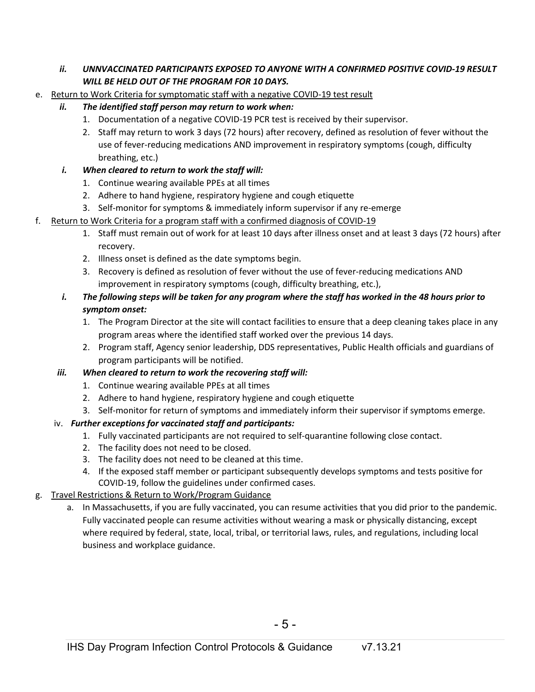#### *ii. UNNVACCINATED PARTICIPANTS EXPOSED TO ANYONE WITH A CONFIRMED POSITIVE COVID-19 RESULT WILL BE HELD OUT OF THE PROGRAM FOR 10 DAYS.*

- e. Return to Work Criteria for symptomatic staff with a negative COVID-19 test result
	- *ii. The identified staff person may return to work when:* 
		- 1. Documentation of a negative COVID-19 PCR test is received by their supervisor.
		- 2. Staff may return to work 3 days (72 hours) after recovery, defined as resolution of fever without the use of fever-reducing medications AND improvement in respiratory symptoms (cough, difficulty breathing, etc.)
	- *i. When cleared to return to work the staff will:*
		- 1. Continue wearing available PPEs at all times
		- 2. Adhere to hand hygiene, respiratory hygiene and cough etiquette
		- 3. Self-monitor for symptoms & immediately inform supervisor if any re-emerge
- f. Return to Work Criteria for a program staff with a confirmed diagnosis of COVID-19
	- 1. Staff must remain out of work for at least 10 days after illness onset and at least 3 days (72 hours) after recovery.
	- 2. Illness onset is defined as the date symptoms begin.
	- 3. Recovery is defined as resolution of fever without the use of fever-reducing medications AND improvement in respiratory symptoms (cough, difficulty breathing, etc.),
	- *i. The following steps will be taken for any program where the staff has worked in the 48 hours prior to symptom onset:* 
		- 1. The Program Director at the site will contact facilities to ensure that a deep cleaning takes place in any program areas where the identified staff worked over the previous 14 days.
		- 2. Program staff, Agency senior leadership, DDS representatives, Public Health officials and guardians of program participants will be notified.
	- *iii. When cleared to return to work the recovering staff will:*
		- 1. Continue wearing available PPEs at all times
		- 2. Adhere to hand hygiene, respiratory hygiene and cough etiquette
		- 3. Self-monitor for return of symptoms and immediately inform their supervisor if symptoms emerge.

## iv. *Further exceptions for vaccinated staff and participants:*

- 1. Fully vaccinated participants are not required to self-quarantine following close contact.
- 2. The facility does not need to be closed.
- 3. The facility does not need to be cleaned at this time.
- 4. If the exposed staff member or participant subsequently develops symptoms and tests positive for COVID-19, follow the guidelines under confirmed cases.

## g. Travel Restrictions & Return to Work/Program Guidance

a. In Massachusetts, if you are [fully vaccinated,](https://www.cdc.gov/coronavirus/2019-ncov/vaccines/fully-vaccinated.html#vaccinated) you can resume activities that you did prior to the pandemic. Fully vaccinated people can resume activities without wearing a mask or physically distancing, except where [required](https://www.mass.gov/info-details/covid-19-mask-requirements) by federal, state, local, tribal, or territorial laws, rules, and regulations, including local business and workplace guidance.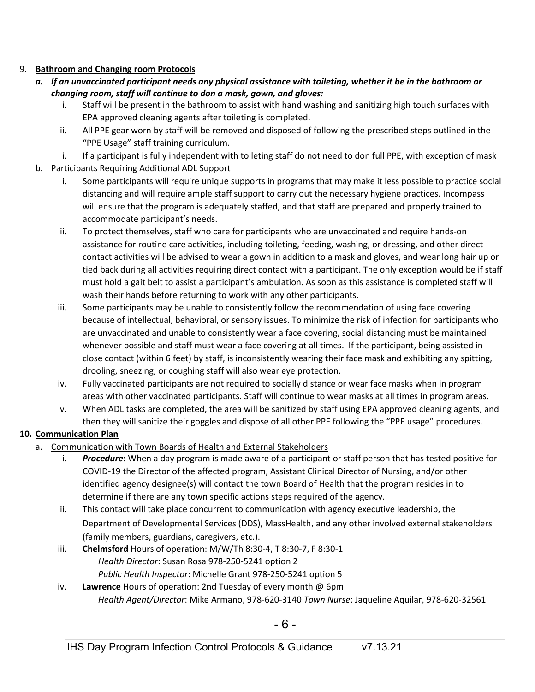#### 9. **Bathroom and Changing room Protocols**

- *a. If an unvaccinated participant needs any physical assistance with toileting, whether it be in the bathroom or changing room, staff will continue to don a mask, gown, and gloves:*
	- i. Staff will be present in the bathroom to assist with hand washing and sanitizing high touch surfaces with EPA approved cleaning agents after toileting is completed.
	- ii. All PPE gear worn by staff will be removed and disposed of following the prescribed steps outlined in the "PPE Usage" staff training curriculum.
	- i. If a participant is fully independent with toileting staff do not need to don full PPE, with exception of mask
- b. Participants Requiring Additional ADL Support
	- i. Some participants will require unique supports in programs that may make it less possible to practice social distancing and will require ample staff support to carry out the necessary hygiene practices. Incompass will ensure that the program is adequately staffed, and that staff are prepared and properly trained to accommodate participant's needs.
	- ii. To protect themselves, staff who care for participants who are unvaccinated and require hands-on assistance for routine care activities, including toileting, feeding, washing, or dressing, and other direct contact activities will be advised to wear a gown in addition to a mask and gloves, and wear long hair up or tied back during all activities requiring direct contact with a participant. The only exception would be if staff must hold a gait belt to assist a participant's ambulation. As soon as this assistance is completed staff will wash their hands before returning to work with any other participants.
	- iii. Some participants may be unable to consistently follow the recommendation of using face covering because of intellectual, behavioral, or sensory issues. To minimize the risk of infection for participants who are unvaccinated and unable to consistently wear a face covering, social distancing must be maintained whenever possible and staff must wear a face covering at all times. If the participant, being assisted in close contact (within 6 feet) by staff, is inconsistently wearing their face mask and exhibiting any spitting, drooling, sneezing, or coughing staff will also wear eye protection.
	- iv. Fully vaccinated participants are not required to socially distance or wear face masks when in program areas with other vaccinated participants. Staff will continue to wear masks at all times in program areas.
	- v. When ADL tasks are completed, the area will be sanitized by staff using EPA approved cleaning agents, and then they will sanitize their goggles and dispose of all other PPE following the "PPE usage" procedures.

## **10. Communication Plan**

- a. Communication with Town Boards of Health and External Stakeholders
	- i. *Procedure***:** When a day program is made aware of a participant or staff person that has tested positive for COVID-19 the Director of the affected program, Assistant Clinical Director of Nursing, and/or other identified agency designee(s) will contact the town Board of Health that the program resides in to determine if there are any town specific actions steps required of the agency.
	- ii. This contact will take place concurrent to communication with agency executive leadership, the Department of Developmental Services (DDS), MassHealth, and any other involved external stakeholders (family members, guardians, caregivers, etc.).
	- iii. **Chelmsford** Hours of operation: M/W/Th 8:30-4, T 8:30-7, F 8:30-1 *Health Director*: Susan Rosa 978-250-5241 option 2 *Public Health Inspector*: Michelle Grant 978-250-5241 option 5
	- iv. **Lawrence** Hours of operation: 2nd Tuesday of every month @ 6pm *Health Agent/Director*: Mike Armano, 978-620-3140 *Town Nurse*: Jaqueline Aquilar, 978-620-32561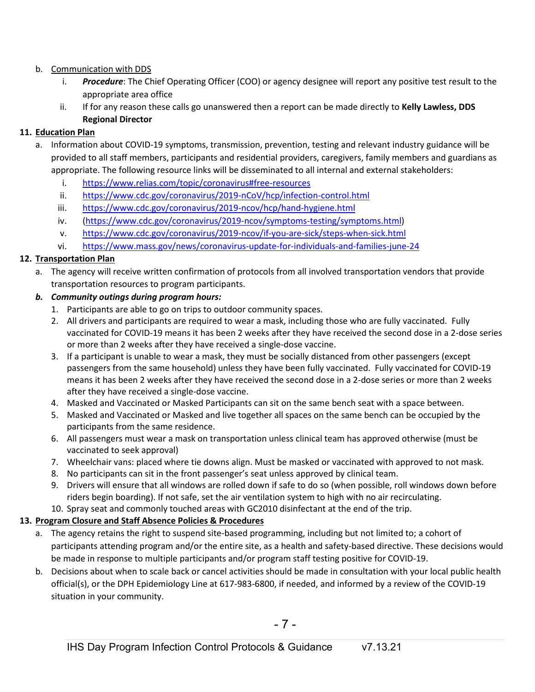#### b. Communication with DDS

- i. *Procedure*: The Chief Operating Officer (COO) or agency designee will report any positive test result to the appropriate area office
- ii. If for any reason these calls go unanswered then a report can be made directly to **Kelly Lawless, DDS Regional Director**

## **11. Education Plan**

- a. Information about COVID-19 symptoms, transmission, prevention, testing and relevant industry guidance will be provided to all staff members, participants and residential providers, caregivers, family members and guardians as appropriate. The following resource links will be disseminated to all internal and external stakeholders:
	- i. <https://www.relias.com/topic/coronavirus#free-resources>
	- ii. <https://www.cdc.gov/coronavirus/2019-nCoV/hcp/infection-control.html>
	- iii. <https://www.cdc.gov/coronavirus/2019-ncov/hcp/hand-hygiene.html>
	- iv. [\(https://www.cdc.gov/coronavirus/2019-ncov/symptoms-testing/symptoms.html\)](https://www.cdc.gov/coronavirus/2019-ncov/symptoms-testing/symptoms.html)
	- v. <https://www.cdc.gov/coronavirus/2019-ncov/if-you-are-sick/steps-when-sick.html>
	- vi. <https://www.mass.gov/news/coronavirus-update-for-individuals-and-families-june-24>

## **12. Transportation Plan**

a. The agency will receive written confirmation of protocols from all involved transportation vendors that provide transportation resources to program participants.

## *b. Community outings during program hours:*

- 1. Participants are able to go on trips to outdoor community spaces.
- 2. All drivers and participants are required to wear a mask, including those who are fully vaccinated. Fully vaccinated for COVID-19 means it has been 2 weeks after they have received the second dose in a 2-dose series or more than 2 weeks after they have received a single-dose vaccine.
- 3. If a participant is unable to wear a mask, they must be socially distanced from other passengers (except passengers from the same household) unless they have been fully vaccinated. Fully vaccinated for COVID-19 means it has been 2 weeks after they have received the second dose in a 2-dose series or more than 2 weeks after they have received a single-dose vaccine.
- 4. Masked and Vaccinated or Masked Participants can sit on the same bench seat with a space between.
- 5. Masked and Vaccinated or Masked and live together all spaces on the same bench can be occupied by the participants from the same residence.
- 6. All passengers must wear a mask on transportation unless clinical team has approved otherwise (must be vaccinated to seek approval)
- 7. Wheelchair vans: placed where tie downs align. Must be masked or vaccinated with approved to not mask.
- 8. No participants can sit in the front passenger's seat unless approved by clinical team.
- 9. Drivers will ensure that all windows are rolled down if safe to do so (when possible, roll windows down before riders begin boarding). If not safe, set the air ventilation system to high with no air recirculating.
- 10. Spray seat and commonly touched areas with GC2010 disinfectant at the end of the trip.

## **13. Program Closure and Staff Absence Policies & Procedures**

- a. The agency retains the right to suspend site-based programming, including but not limited to; a cohort of participants attending program and/or the entire site, as a health and safety-based directive. These decisions would be made in response to multiple participants and/or program staff testing positive for COVID-19.
- b. Decisions about when to scale back or cancel activities should be made in consultation with your local public health official(s), or the DPH Epidemiology Line at 617-983-6800, if needed, and informed by a review of the COVID-19 situation in your community.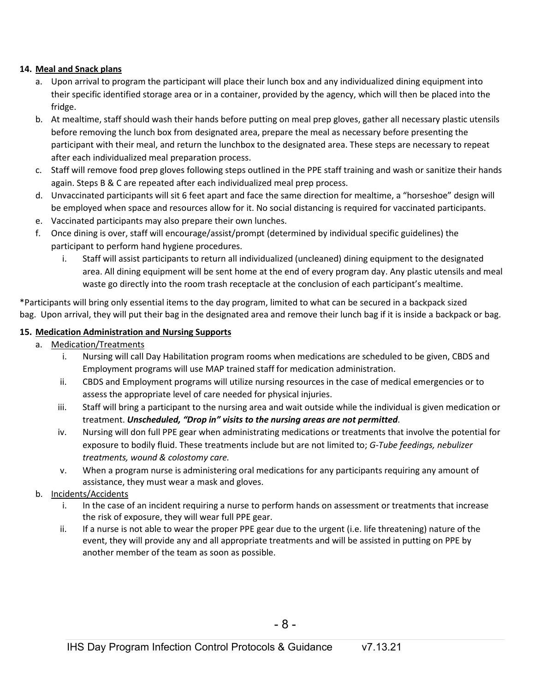#### **14. Meal and Snack plans**

- a. Upon arrival to program the participant will place their lunch box and any individualized dining equipment into their specific identified storage area or in a container, provided by the agency, which will then be placed into the fridge.
- b. At mealtime, staff should wash their hands before putting on meal prep gloves, gather all necessary plastic utensils before removing the lunch box from designated area, prepare the meal as necessary before presenting the participant with their meal, and return the lunchbox to the designated area. These steps are necessary to repeat after each individualized meal preparation process.
- c. Staff will remove food prep gloves following steps outlined in the PPE staff training and wash or sanitize their hands again. Steps B & C are repeated after each individualized meal prep process.
- d. Unvaccinated participants will sit 6 feet apart and face the same direction for mealtime, a "horseshoe" design will be employed when space and resources allow for it. No social distancing is required for vaccinated participants.
- e. Vaccinated participants may also prepare their own lunches.
- f. Once dining is over, staff will encourage/assist/prompt (determined by individual specific guidelines) the participant to perform hand hygiene procedures.
	- i. Staff will assist participants to return all individualized (uncleaned) dining equipment to the designated area. All dining equipment will be sent home at the end of every program day. Any plastic utensils and meal waste go directly into the room trash receptacle at the conclusion of each participant's mealtime.

\*Participants will bring only essential items to the day program, limited to what can be secured in a backpack sized bag. Upon arrival, they will put their bag in the designated area and remove their lunch bag if it is inside a backpack or bag.

#### **15. Medication Administration and Nursing Supports**

- a. Medication/Treatments
	- i. Nursing will call Day Habilitation program rooms when medications are scheduled to be given, CBDS and Employment programs will use MAP trained staff for medication administration.
	- ii. CBDS and Employment programs will utilize nursing resources in the case of medical emergencies or to assess the appropriate level of care needed for physical injuries.
	- iii. Staff will bring a participant to the nursing area and wait outside while the individual is given medication or treatment. *Unscheduled, "Drop in" visits to the nursing areas are not permitted*.
	- iv. Nursing will don full PPE gear when administrating medications or treatments that involve the potential for exposure to bodily fluid. These treatments include but are not limited to; *G-Tube feedings, nebulizer treatments, wound & colostomy care.*
	- v. When a program nurse is administering oral medications for any participants requiring any amount of assistance, they must wear a mask and gloves.
- b. Incidents/Accidents
	- i. In the case of an incident requiring a nurse to perform hands on assessment or treatments that increase the risk of exposure, they will wear full PPE gear.
	- ii. If a nurse is not able to wear the proper PPE gear due to the urgent (i.e. life threatening) nature of the event, they will provide any and all appropriate treatments and will be assisted in putting on PPE by another member of the team as soon as possible.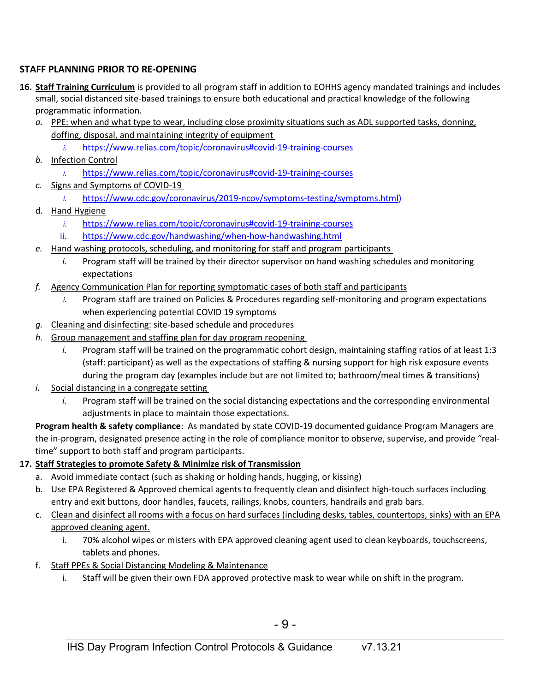## **STAFF PLANNING PRIOR TO RE-OPENING**

- **16. Staff Training Curriculum** is provided to all program staff in addition to EOHHS agency mandated trainings and includes small, social distanced site-based trainings to ensure both educational and practical knowledge of the following programmatic information.
	- *a.* PPE: when and what type to wear, including close proximity situations such as ADL supported tasks, donning, doffing, disposal, and maintaining integrity of equipment
		- *i.* <https://www.relias.com/topic/coronavirus#covid-19-training-courses>
	- *b.* Infection Control
		- *i.* <https://www.relias.com/topic/coronavirus#covid-19-training-courses>
	- *c.* Signs and Symptoms of COVID-19
		- *i.* [https://www.cdc.gov/coronavirus/2019-ncov/symptoms-testing/symptoms.html\)](https://www.cdc.gov/coronavirus/2019-ncov/symptoms-testing/symptoms.html)
	- d. Hand Hygiene
		- *i.* <https://www.relias.com/topic/coronavirus#covid-19-training-courses>
		- ii. https://www.cdc.gov/handwashing/when-how-handwashing.html
	- *e.* Hand washing protocols, scheduling, and monitoring for staff and program participants
		- *i.* Program staff will be trained by their director supervisor on hand washing schedules and monitoring expectations
	- *f.* Agency Communication Plan for reporting symptomatic cases of both staff and participants
		- *i.* Program staff are trained on Policies & Procedures regarding self-monitoring and program expectations when experiencing potential COVID 19 symptoms
	- *g.* Cleaning and disinfecting: site-based schedule and procedures
	- *h.* Group management and staffing plan for day program reopening
		- *i.* Program staff will be trained on the programmatic cohort design, maintaining staffing ratios of at least 1:3 (staff: participant) as well as the expectations of staffing & nursing support for high risk exposure events during the program day (examples include but are not limited to; bathroom/meal times & transitions)
	- *i.* Social distancing in a congregate setting
		- *i.* Program staff will be trained on the social distancing expectations and the corresponding environmental adjustments in place to maintain those expectations.

**Program health & safety compliance**: As mandated by state COVID-19 documented guidance Program Managers are the in-program, designated presence acting in the role of compliance monitor to observe, supervise, and provide "realtime" support to both staff and program participants.

## **17. Staff Strategies to promote Safety & Minimize risk of Transmission**

- a. Avoid immediate contact (such as shaking or holding hands, hugging, or kissing)
- b. Use EPA Registered & Approved chemical agents to frequently clean and disinfect high-touch surfaces including entry and exit buttons, door handles, faucets, railings, knobs, counters, handrails and grab bars.
- c. Clean and disinfect all rooms with a focus on hard surfaces (including desks, tables, countertops, sinks) with an EPA approved cleaning agent.
	- i. 70% alcohol wipes or misters with EPA approved cleaning agent used to clean keyboards, touchscreens, tablets and phones.
- f. Staff PPEs & Social Distancing Modeling & Maintenance
	- i. Staff will be given their own FDA approved protective mask to wear while on shift in the program.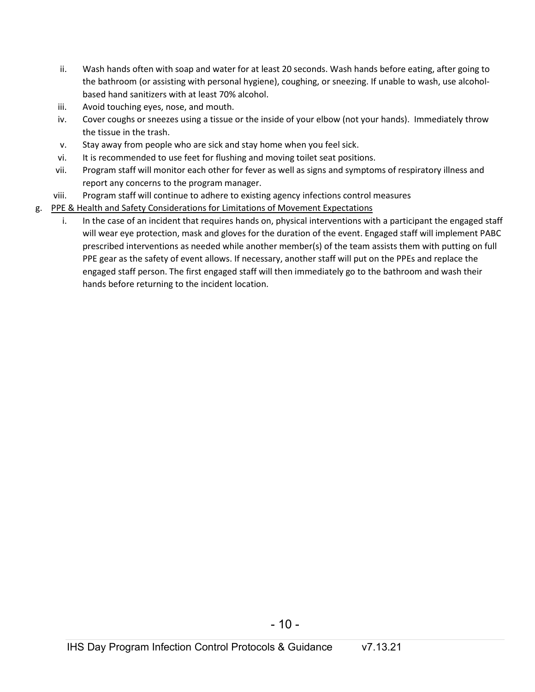- ii. Wash hands often with soap and water for at least 20 seconds. Wash hands before eating, after going to the bathroom (or assisting with personal hygiene), coughing, or sneezing. If unable to wash, use alcoholbased hand sanitizers with at least 70% alcohol.
- iii. Avoid touching eyes, nose, and mouth.
- iv. Cover coughs or sneezes using a tissue or the inside of your elbow (not your hands). Immediately throw the tissue in the trash.
- v. Stay away from people who are sick and stay home when you feel sick.
- vi. It is recommended to use feet for flushing and moving toilet seat positions.
- vii. Program staff will monitor each other for fever as well as signs and symptoms of respiratory illness and report any concerns to the program manager.
- viii. Program staff will continue to adhere to existing agency infections control measures
- g. PPE & Health and Safety Considerations for Limitations of Movement Expectations
	- i. In the case of an incident that requires hands on, physical interventions with a participant the engaged staff will wear eye protection, mask and gloves for the duration of the event. Engaged staff will implement PABC prescribed interventions as needed while another member(s) of the team assists them with putting on full PPE gear as the safety of event allows. If necessary, another staff will put on the PPEs and replace the engaged staff person. The first engaged staff will then immediately go to the bathroom and wash their hands before returning to the incident location.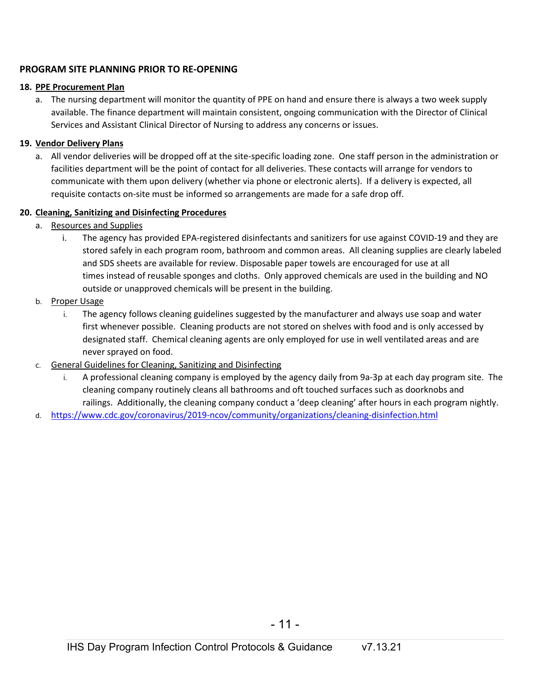#### **PROGRAM SITE PLANNING PRIOR TO RE-OPENING**

#### **18. PPE Procurement Plan**

a. The nursing department will monitor the quantity of PPE on hand and ensure there is always a two week supply available. The finance department will maintain consistent, ongoing communication with the Director of Clinical Services and Assistant Clinical Director of Nursing to address any concerns or issues.

#### **19. Vendor Delivery Plans**

a. All vendor deliveries will be dropped off at the site-specific loading zone. One staff person in the administration or facilities department will be the point of contact for all deliveries. These contacts will arrange for vendors to communicate with them upon delivery (whether via phone or electronic alerts). If a delivery is expected, all requisite contacts on-site must be informed so arrangements are made for a safe drop off.

#### **20. Cleaning, Sanitizing and Disinfecting Procedures**

- a. Resources and Supplies
	- i. The agency has provided EPA-registered disinfectants and sanitizers for use against COVID-19 and they are stored safely in each program room, bathroom and common areas. All cleaning supplies are clearly labeled and SDS sheets are available for review. Disposable paper towels are encouraged for use at all times instead of reusable sponges and cloths. Only approved chemicals are used in the building and NO outside or unapproved chemicals will be present in the building.
- b. Proper Usage
	- i. The agency follows cleaning guidelines suggested by the manufacturer and always use soap and water first whenever possible. Cleaning products are not stored on shelves with food and is only accessed by designated staff. Chemical cleaning agents are only employed for use in well ventilated areas and are never sprayed on food.
- c. General Guidelines for Cleaning, Sanitizing and Disinfecting
	- A professional cleaning company is employed by the agency daily from 9a-3p at each day program site. The cleaning company routinely cleans all bathrooms and oft touched surfaces such as doorknobs and railings. Additionally, the cleaning company conduct a 'deep cleaning' after hours in each program nightly.
- d. <https://www.cdc.gov/coronavirus/2019-ncov/community/organizations/cleaning-disinfection.html>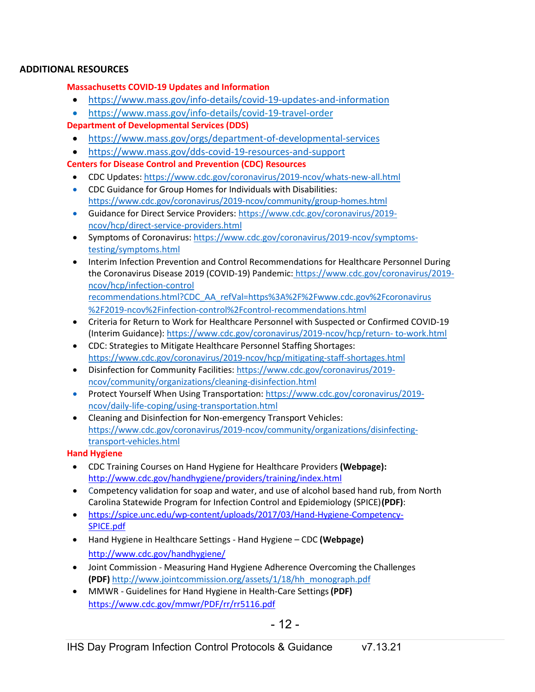#### **ADDITIONAL RESOURCES**

#### **Massachusetts COVID-19 Updates and Information**

- <https://www.mass.gov/info-details/covid-19-updates-and-information>
- <https://www.mass.gov/info-details/covid-19-travel-order>
- **Department of Developmental Services (DDS)**
	- <https://www.mass.gov/orgs/department-of-developmental-services>
	- <https://www.mass.gov/dds-covid-19-resources-and-support>

**Centers for Disease Control and Prevention (CDC) Resources**

- CDC Updates: <https://www.cdc.gov/coronavirus/2019-ncov/whats-new-all.html>
- CDC Guidance for Group Homes for Individuals with Disabilities[:](https://www.cdc.gov/coronavirus/2019-ncov/community/group-homes.html) <https://www.cdc.gov/coronavirus/2019-ncov/community/group-homes.html>
- Guidance for Direct Service Providers: [https://www.cdc.gov/coronavirus/2019](https://www.cdc.gov/coronavirus/2019-ncov/hcp/direct-service-providers.html) [ncov/hcp/direct-service-providers.html](https://www.cdc.gov/coronavirus/2019-ncov/hcp/direct-service-providers.html)
- Symptoms of Coronavirus: [https://www.cdc.gov/coronavirus/2019-ncov/symptoms](https://www.cdc.gov/coronavirus/2019-ncov/symptoms-testing/symptoms.html)[testing/symptoms.html](https://www.cdc.gov/coronavirus/2019-ncov/symptoms-testing/symptoms.html)
- Interim Infection Prevention and Control Recommendations for Healthcare Personnel During the Coronavirus Disease 2019 (COVID-19) Pandemic: [https://www.cdc.gov/coronavirus/2019](https://www.cdc.gov/coronavirus/2019-ncov/hcp/infection-control%20recommendations.html?CDC_AA_refVal=https%3A%2F%2Fwww.cdc.gov%2Fcoronavirus%2F2019-ncov%2Finfection-control%2Fcontrol-recommendations.html) [ncov/hcp/infection-control](https://www.cdc.gov/coronavirus/2019-ncov/hcp/infection-control%20recommendations.html?CDC_AA_refVal=https%3A%2F%2Fwww.cdc.gov%2Fcoronavirus%2F2019-ncov%2Finfection-control%2Fcontrol-recommendations.html) [recommendations.html?CDC\\_AA\\_refVal=https%3A%2F%2Fwww.cdc.gov%2Fcoronavirus](https://www.cdc.gov/coronavirus/2019-ncov/hcp/infection-control%20recommendations.html?CDC_AA_refVal=https%3A%2F%2Fwww.cdc.gov%2Fcoronavirus%2F2019-ncov%2Finfection-control%2Fcontrol-recommendations.html) [%2F2019-ncov%2Finfection-control%2Fcontrol-recommendations.html](https://www.cdc.gov/coronavirus/2019-ncov/hcp/infection-control%20recommendations.html?CDC_AA_refVal=https%3A%2F%2Fwww.cdc.gov%2Fcoronavirus%2F2019-ncov%2Finfection-control%2Fcontrol-recommendations.html)
- Criteria for Return to Work for Healthcare Personnel with Suspected or Confirmed COVID-19 (Interim Guidance): [https://www.cdc.gov/coronavirus/2019-ncov/hcp/return-](https://www.cdc.gov/coronavirus/2019-ncov/hcp/return-to-work.html) [to-work.html](https://www.cdc.gov/coronavirus/2019-ncov/hcp/return-to-work.html)
- CDC: Strategies to Mitigate Healthcare Personnel Staffing Shortages[:](https://www.cdc.gov/coronavirus/2019-ncov/hcp/mitigating-staff-shortages.html) <https://www.cdc.gov/coronavirus/2019-ncov/hcp/mitigating-staff-shortages.html>
- Disinfection for Community Facilities: [https://www.cdc.gov/coronavirus/2019](https://www.cdc.gov/coronavirus/2019-ncov/community/organizations/cleaning-disinfection.html) [ncov/community/organizations/cleaning-disinfection.html](https://www.cdc.gov/coronavirus/2019-ncov/community/organizations/cleaning-disinfection.html)
- Protect Yourself When Using Transportation: [https://www.cdc.gov/coronavirus/2019](https://www.cdc.gov/coronavirus/2019-ncov/daily-life-coping/using-transportation.html) [ncov/daily-life-coping/using-transportation.html](https://www.cdc.gov/coronavirus/2019-ncov/daily-life-coping/using-transportation.html)
- Cleaning and Disinfection for Non-emergency Transport Vehicles[:](https://www.cdc.gov/coronavirus/2019-ncov/community/organizations/disinfecting-transport-vehicles.html) [https://www.cdc.gov/coronavirus/2019-ncov/community/organizations/disinfecting](https://www.cdc.gov/coronavirus/2019-ncov/community/organizations/disinfecting-transport-vehicles.html)[transport-vehicles.html](https://www.cdc.gov/coronavirus/2019-ncov/community/organizations/disinfecting-transport-vehicles.html)

## **Hand Hygiene**

- CDC Training Courses on Hand Hygiene for Healthcare Providers **(Webpage):** <http://www.cdc.gov/handhygiene/providers/training/index.html>
- Competency validation for soap and water, and use of alcohol based hand rub, from North Carolina Statewide Program for Infection Control and Epidemiology (SPICE)**(PDF)**:
- [https://spice.unc.edu/wp-content/uploads/2017/03/Hand-Hygiene-Competency-](https://spice.unc.edu/wp-content/uploads/2017/03/Hand-Hygiene-Competency-SPICE.pdf)[SPICE.pdf](https://spice.unc.edu/wp-content/uploads/2017/03/Hand-Hygiene-Competency-SPICE.pdf)
- Hand Hygiene in Healthcare Settings Hand Hygiene CDC **(Webpage)** <http://www.cdc.gov/handhygiene/>
- Joint Commission Measuring Hand Hygiene Adherence Overcoming the Challenges **(PDF)** [http://www.jointcommission.org/assets/1/18/hh\\_monograph.pdf](http://www.jointcommission.org/assets/1/18/hh_monograph.pdf)
- MMWR Guidelines for Hand Hygiene in Health-Care Settings**(PDF)** <https://www.cdc.gov/mmwr/PDF/rr/rr5116.pdf>